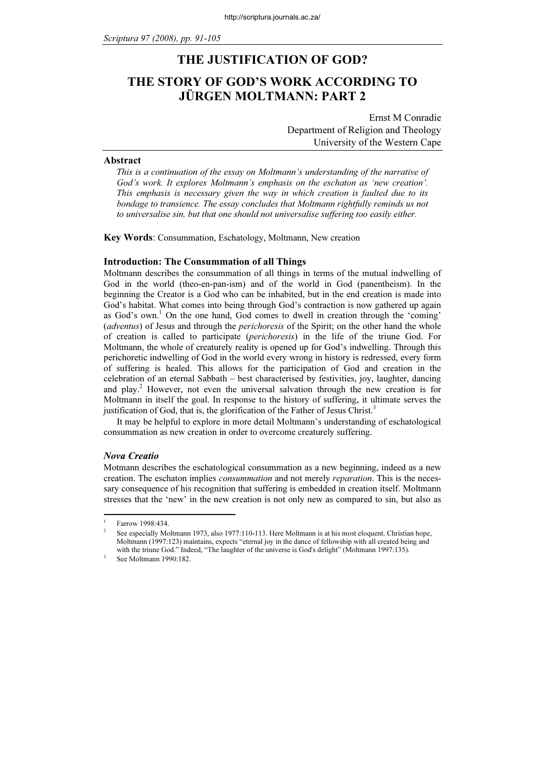# THE JUSTIFICATION OF GOD? THE STORY OF GOD'S WORK ACCORDING TO JÜRGEN MOLTMANN: PART 2

Ernst M Conradie Department of Religion and Theology University of the Western Cape

#### Abstract

This is a continuation of the essay on Moltmann's understanding of the narrative of God's work. It explores Moltmann's emphasis on the eschaton as 'new creation'. This emphasis is necessary given the way in which creation is faulted due to its bondage to transience. The essay concludes that Moltmann rightfully reminds us not to universalise sin, but that one should not universalise suffering too easily either.

Key Words: Consummation, Eschatology, Moltmann, New creation

### Introduction: The Consummation of all Things

Moltmann describes the consummation of all things in terms of the mutual indwelling of God in the world (theo-en-pan-ism) and of the world in God (panentheism). In the beginning the Creator is a God who can be inhabited, but in the end creation is made into God's habitat. What comes into being through God's contraction is now gathered up again as God's own.<sup>1</sup> On the one hand, God comes to dwell in creation through the 'coming' (*adventus*) of Jesus and through the *perichoresis* of the Spirit; on the other hand the whole of creation is called to participate (perichoresis) in the life of the triune God. For Moltmann, the whole of creaturely reality is opened up for God's indwelling. Through this perichoretic indwelling of God in the world every wrong in history is redressed, every form of suffering is healed. This allows for the participation of God and creation in the celebration of an eternal Sabbath – best characterised by festivities, joy, laughter, dancing and play.<sup>2</sup> However, not even the universal salvation through the new creation is for Moltmann in itself the goal. In response to the history of suffering, it ultimate serves the justification of God, that is, the glorification of the Father of Jesus Christ.<sup>3</sup>

It may be helpful to explore in more detail Moltmann's understanding of eschatological consummation as new creation in order to overcome creaturely suffering.

# Nova Creatio

Motmann describes the eschatological consummation as a new beginning, indeed as a new creation. The eschaton implies *consummation* and not merely *reparation*. This is the necessary consequence of his recognition that suffering is embedded in creation itself. Moltmann stresses that the 'new' in the new creation is not only new as compared to sin, but also as

<sup>1</sup> Farrow 1998:434.

<sup>2</sup> See especially Moltmann 1973, also 1977:110-113. Here Moltmann is at his most eloquent. Christian hope, Moltmann (1997:123) maintains, expects "eternal joy in the dance of fellowship with all created being and with the triune God." Indeed, "The laughter of the universe is God's delight" (Moltmann 1997:135).

See Moltmann 1990:182.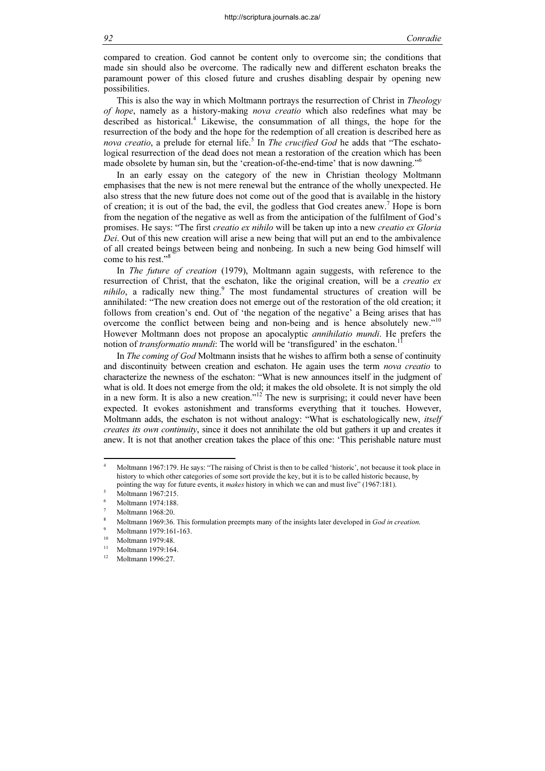compared to creation. God cannot be content only to overcome sin; the conditions that made sin should also be overcome. The radically new and different eschaton breaks the paramount power of this closed future and crushes disabling despair by opening new possibilities.

This is also the way in which Moltmann portrays the resurrection of Christ in *Theology* of hope, namely as a history-making nova creatio which also redefines what may be described as historical.<sup>4</sup> Likewise, the consummation of all things, the hope for the resurrection of the body and the hope for the redemption of all creation is described here as nova creatio, a prelude for eternal life.<sup>5</sup> In *The crucified God* he adds that "The eschatological resurrection of the dead does not mean a restoration of the creation which has been made obsolete by human sin, but the 'creation-of-the-end-time' that is now dawning."<sup>6</sup>

In an early essay on the category of the new in Christian theology Moltmann emphasises that the new is not mere renewal but the entrance of the wholly unexpected. He also stress that the new future does not come out of the good that is available in the history of creation; it is out of the bad, the evil, the godless that God creates anew.<sup>7</sup> Hope is born from the negation of the negative as well as from the anticipation of the fulfilment of God's promises. He says: "The first creatio ex nihilo will be taken up into a new creatio ex Gloria Dei. Out of this new creation will arise a new being that will put an end to the ambivalence of all created beings between being and nonbeing. In such a new being God himself will come to his rest."<sup>8</sup>

In *The future of creation* (1979), Moltmann again suggests, with reference to the resurrection of Christ, that the eschaton, like the original creation, will be a *creatio ex*  $nihilo$ , a radically new thing.<sup>9</sup> The most fundamental structures of creation will be annihilated: "The new creation does not emerge out of the restoration of the old creation; it follows from creation's end. Out of 'the negation of the negative' a Being arises that has overcome the conflict between being and non-being and is hence absolutely new."<sup>10</sup> However Moltmann does not propose an apocalyptic *annihilatio mundi*. He prefers the notion of transformatio mundi: The world will be 'transfigured' in the eschaton.

In *The coming of God* Moltmann insists that he wishes to affirm both a sense of continuity and discontinuity between creation and eschaton. He again uses the term *nova creatio* to characterize the newness of the eschaton: "What is new announces itself in the judgment of what is old. It does not emerge from the old; it makes the old obsolete. It is not simply the old in a new form. It is also a new creation."<sup>12</sup> The new is surprising; it could never have been expected. It evokes astonishment and transforms everything that it touches. However, Moltmann adds, the eschaton is not without analogy: "What is eschatologically new, itself creates its own continuity, since it does not annihilate the old but gathers it up and creates it anew. It is not that another creation takes the place of this one: 'This perishable nature must

<sup>4</sup> Moltmann 1967:179. He says: "The raising of Christ is then to be called 'historic', not because it took place in history to which other categories of some sort provide the key, but it is to be called historic because, by pointing the way for future events, it makes history in which we can and must live" (1967:181).

Moltmann 1967:215.

<sup>6</sup> Moltmann 1974:188.

<sup>7</sup> Moltmann 1968:20.

<sup>8</sup> Moltmann 1969:36. This formulation preempts many of the insights later developed in God in creation.

 $^{9}$  Moltmann 1979:161-163.

 $^{10}$  Moltmann 1979:48.

 $^{11}$  Moltmann 1979:164. <sup>12</sup> Moltmann 1996:27.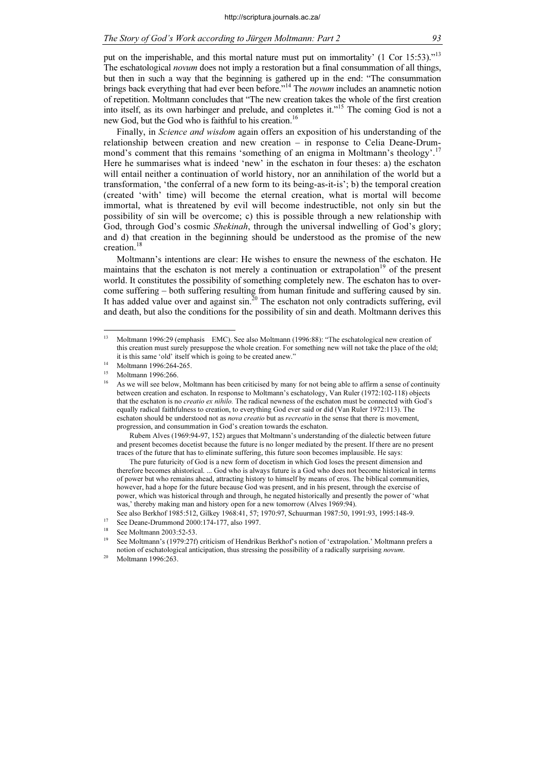put on the imperishable, and this mortal nature must put on immortality' (1 Cor 15:53)."<sup>13</sup> The eschatological novum does not imply a restoration but a final consummation of all things, but then in such a way that the beginning is gathered up in the end: "The consummation brings back everything that had ever been before."<sup>14</sup> The *novum* includes an anamnetic notion of repetition. Moltmann concludes that "The new creation takes the whole of the first creation into itself, as its own harbinger and prelude, and completes it."<sup>15</sup> The coming God is not a new God, but the God who is faithful to his creation.<sup>16</sup>

Finally, in Science and wisdom again offers an exposition of his understanding of the relationship between creation and new creation – in response to Celia Deane-Drummond's comment that this remains 'something of an enigma in Moltmann's theology'.<sup>17</sup> Here he summarises what is indeed 'new' in the eschaton in four theses: a) the eschaton will entail neither a continuation of world history, nor an annihilation of the world but a transformation, 'the conferral of a new form to its being-as-it-is'; b) the temporal creation (created 'with' time) will become the eternal creation, what is mortal will become immortal, what is threatened by evil will become indestructible, not only sin but the possibility of sin will be overcome; c) this is possible through a new relationship with God, through God's cosmic Shekinah, through the universal indwelling of God's glory; and d) that creation in the beginning should be understood as the promise of the new creation.<sup>18</sup>

Moltmann's intentions are clear: He wishes to ensure the newness of the eschaton. He maintains that the eschaton is not merely a continuation or extrapolation<sup>19</sup> of the present world. It constitutes the possibility of something completely new. The eschaton has to overcome suffering – both suffering resulting from human finitude and suffering caused by sin. It has added value over and against sin.<sup>20</sup> The eschaton not only contradicts suffering, evil and death, but also the conditions for the possibility of sin and death. Moltmann derives this

 Rubem Alves (1969:94-97, 152) argues that Moltmann's understanding of the dialectic between future and present becomes docetist because the future is no longer mediated by the present. If there are no present traces of the future that has to eliminate suffering, this future soon becomes implausible. He says:

 The pure futuricity of God is a new form of docetism in which God loses the present dimension and therefore becomes ahistorical. ... God who is always future is a God who does not become historical in terms of power but who remains ahead, attracting history to himself by means of eros. The biblical communities, however, had a hope for the future because God was present, and in his present, through the exercise of power, which was historical through and through, he negated historically and presently the power of 'what was,' thereby making man and history open for a new tomorrow (Alves 1969:94).

See also Berkhof 1985:512, Gilkey 1968:41, 57; 1970:97, Schuurman 1987:50, 1991:93, 1995:148-9.

<sup>17</sup> See Deane-Drummond 2000:174-177, also 1997.

 $13$ <sup>13</sup> Moltmann 1996:29 (emphasis EMC). See also Moltmann (1996:88): "The eschatological new creation of this creation must surely presuppose the whole creation. For something new will not take the place of the old; it is this same 'old' itself which is going to be created anew." <sup>14</sup> Moltmann 1996:264-265.

Moltmann 1996:266.

<sup>16</sup> As we will see below, Moltmann has been criticised by many for not being able to affirm a sense of continuity between creation and eschaton. In response to Moltmann's eschatology, Van Ruler (1972:102-118) objects that the eschaton is no *creatio ex nihilo*. The radical newness of the eschaton must be connected with God's equally radical faithfulness to creation, to everything God ever said or did (Van Ruler 1972:113). The eschaton should be understood not as *nova creatio* but as *recreatio* in the sense that there is movement, progression, and consummation in God's creation towards the eschaton.

See Moltmann 2003:52-53.

<sup>19</sup> See Moltmann's (1979:27f) criticism of Hendrikus Berkhof's notion of 'extrapolation.' Moltmann prefers a notion of eschatological anticipation, thus stressing the possibility of a radically surprising *novum*.<br><sup>20</sup> Moltmann 1996:263.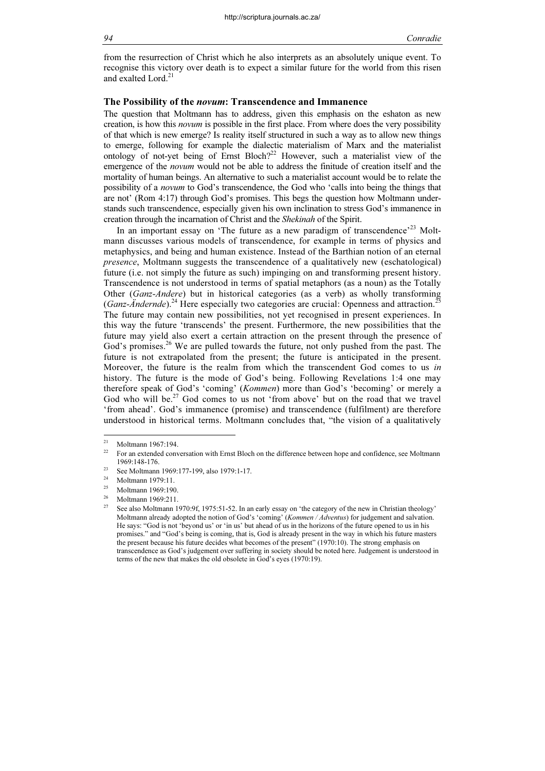from the resurrection of Christ which he also interprets as an absolutely unique event. To recognise this victory over death is to expect a similar future for the world from this risen and exalted Lord.<sup>21</sup>

# The Possibility of the novum: Transcendence and Immanence

The question that Moltmann has to address, given this emphasis on the eshaton as new creation, is how this *novum* is possible in the first place. From where does the very possibility of that which is new emerge? Is reality itself structured in such a way as to allow new things to emerge, following for example the dialectic materialism of Marx and the materialist ontology of not-yet being of Ernst Bloch?<sup>22</sup> However, such a materialist view of the emergence of the *novum* would not be able to address the finitude of creation itself and the mortality of human beings. An alternative to such a materialist account would be to relate the possibility of a novum to God's transcendence, the God who 'calls into being the things that are not' (Rom 4:17) through God's promises. This begs the question how Moltmann understands such transcendence, especially given his own inclination to stress God's immanence in creation through the incarnation of Christ and the Shekinah of the Spirit.

In an important essay on 'The future as a new paradigm of transcendence'<sup>23</sup> Moltmann discusses various models of transcendence, for example in terms of physics and metaphysics, and being and human existence. Instead of the Barthian notion of an eternal presence, Moltmann suggests the transcendence of a qualitatively new (eschatological) future (i.e. not simply the future as such) impinging on and transforming present history. Transcendence is not understood in terms of spatial metaphors (as a noun) as the Totally Other (Ganz-Andere) but in historical categories (as a verb) as wholly transforming (Ganz-Ändernde).<sup>24</sup> Here especially two categories are crucial: Openness and attraction.<sup>2</sup> The future may contain new possibilities, not yet recognised in present experiences. In this way the future 'transcends' the present. Furthermore, the new possibilities that the future may yield also exert a certain attraction on the present through the presence of God's promises.<sup>26</sup> We are pulled towards the future, not only pushed from the past. The future is not extrapolated from the present; the future is anticipated in the present. Moreover, the future is the realm from which the transcendent God comes to us in history. The future is the mode of God's being. Following Revelations 1:4 one may therefore speak of God's 'coming' (Kommen) more than God's 'becoming' or merely a God who will be.<sup>27</sup> God comes to us not 'from above' but on the road that we travel 'from ahead'. God's immanence (promise) and transcendence (fulfilment) are therefore understood in historical terms. Moltmann concludes that, "the vision of a qualitatively

 $21$ <sup>21</sup> Moltmann 1967:194.

<sup>22</sup> For an extended conversation with Ernst Bloch on the difference between hope and confidence, see Moltmann

<sup>1969:148-176.&</sup>lt;br><sup>23</sup> See Moltmann 1969:177-199, also 1979:1-17.<br><sup>24</sup> Moltmann 1979:11.

<sup>&</sup>lt;sup>24</sup> Moltmann 1979:11.<br> $^{25}$  Moltmann 1060:100

 $^{25}$  Moltmann 1969:190.

 $^{26}$  Moltmann 1969:211.

<sup>27</sup> See also Moltmann 1970:9f, 1975:51-52. In an early essay on 'the category of the new in Christian theology' Moltmann already adopted the notion of God's 'coming' (Kommen / Adventus) for judgement and salvation. He says: "God is not 'beyond us' or 'in us' but ahead of us in the horizons of the future opened to us in his promises." and "God's being is coming, that is, God is already present in the way in which his future masters the present because his future decides what becomes of the present" (1970:10). The strong emphasis on transcendence as God's judgement over suffering in society should be noted here. Judgement is understood in terms of the new that makes the old obsolete in God's eyes (1970:19).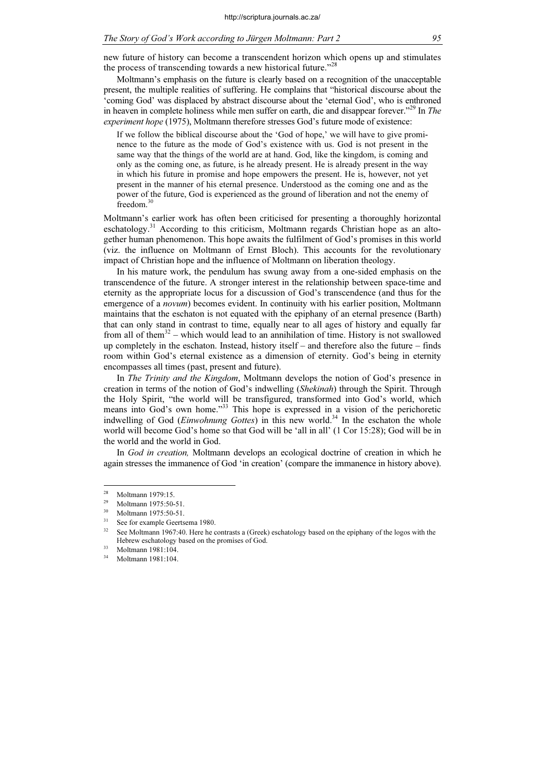new future of history can become a transcendent horizon which opens up and stimulates the process of transcending towards a new historical future."<sup>28</sup>

Moltmann's emphasis on the future is clearly based on a recognition of the unacceptable present, the multiple realities of suffering. He complains that "historical discourse about the 'coming God' was displaced by abstract discourse about the 'eternal God', who is enthroned in heaven in complete holiness while men suffer on earth, die and disappear forever.<sup> $229$ </sup> In The experiment hope (1975), Moltmann therefore stresses God's future mode of existence:

If we follow the biblical discourse about the 'God of hope,' we will have to give prominence to the future as the mode of God's existence with us. God is not present in the same way that the things of the world are at hand. God, like the kingdom, is coming and only as the coming one, as future, is he already present. He is already present in the way in which his future in promise and hope empowers the present. He is, however, not yet present in the manner of his eternal presence. Understood as the coming one and as the power of the future, God is experienced as the ground of liberation and not the enemy of freedom.<sup>30</sup>

Moltmann's earlier work has often been criticised for presenting a thoroughly horizontal eschatology.<sup>31</sup> According to this criticism, Moltmann regards Christian hope as an altogether human phenomenon. This hope awaits the fulfilment of God's promises in this world (viz. the influence on Moltmann of Ernst Bloch). This accounts for the revolutionary impact of Christian hope and the influence of Moltmann on liberation theology.

In his mature work, the pendulum has swung away from a one-sided emphasis on the transcendence of the future. A stronger interest in the relationship between space-time and eternity as the appropriate locus for a discussion of God's transcendence (and thus for the emergence of a *novum*) becomes evident. In continuity with his earlier position, Moltmann maintains that the eschaton is not equated with the epiphany of an eternal presence (Barth) that can only stand in contrast to time, equally near to all ages of history and equally far from all of them<sup>32</sup> – which would lead to an annihilation of time. History is not swallowed up completely in the eschaton. Instead, history itself – and therefore also the future – finds room within God's eternal existence as a dimension of eternity. God's being in eternity encompasses all times (past, present and future).

In The Trinity and the Kingdom, Moltmann develops the notion of God's presence in creation in terms of the notion of God's indwelling (Shekinah) through the Spirit. Through the Holy Spirit, "the world will be transfigured, transformed into God's world, which means into God's own home."<sup>33</sup> This hope is expressed in a vision of the perichoretic indwelling of God (Einwohnung Gottes) in this new world.<sup>34</sup> In the eschaton the whole world will become God's home so that God will be 'all in all' (1 Cor 15:28); God will be in the world and the world in God.

In God in creation, Moltmann develops an ecological doctrine of creation in which he again stresses the immanence of God 'in creation' (compare the immanence in history above).

 $^{28}$  Moltmann 1979:15.

Moltmann 1975:50-51.

 $^{30}$  Moltmann 1975:50-51.

 $31$  See for example Geertsema 1980.

See Moltmann 1967:40. Here he contrasts a (Greek) eschatology based on the epiphany of the logos with the Hebrew eschatology based on the promises of God.<br>33 Moltmann 1981:104.<br>34 Moltmann 1981:104

<sup>34</sup> Moltmann 1981:104.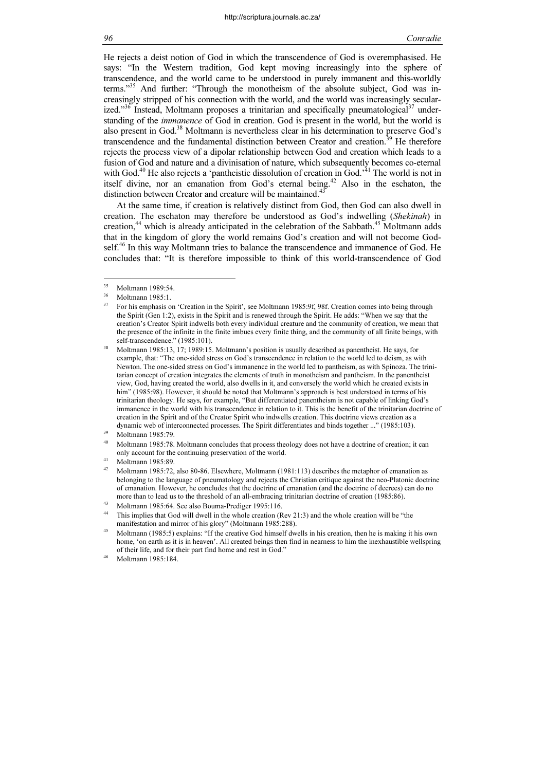He rejects a deist notion of God in which the transcendence of God is overemphasised. He says: "In the Western tradition, God kept moving increasingly into the sphere of transcendence, and the world came to be understood in purely immanent and this-worldly terms."<sup>35</sup> And further: "Through the monotheism of the absolute subject, God was increasingly stripped of his connection with the world, and the world was increasingly secularized."<sup>36</sup> Instead, Moltmann proposes a trinitarian and specifically pneumatological<sup>37</sup> understanding of the *immanence* of God in creation. God is present in the world, but the world is also present in God.<sup>38</sup> Moltmann is nevertheless clear in his determination to preserve God's transcendence and the fundamental distinction between Creator and creation.<sup>39</sup> He therefore rejects the process view of a dipolar relationship between God and creation which leads to a fusion of God and nature and a divinisation of nature, which subsequently becomes co-eternal with God.<sup>40</sup> He also rejects a 'pantheistic dissolution of creation in God.<sup> $31$ </sup> The world is not in itself divine, nor an emanation from God's eternal being.<sup>42</sup> Also in the eschaton, the distinction between Creator and creature will be maintained.<sup>43</sup>

At the same time, if creation is relatively distinct from God, then God can also dwell in creation. The eschaton may therefore be understood as God's indwelling (Shekinah) in creation,<sup>44</sup> which is already anticipated in the celebration of the Sabbath.<sup>45</sup> Moltmann adds that in the kingdom of glory the world remains God's creation and will not become Godself.<sup>46</sup> In this way Moltmann tries to balance the transcendence and immanence of God. He concludes that: "It is therefore impossible to think of this world-transcendence of God

<sup>35</sup>  $^{35}$  Moltmann 1989:54.

 $^{36}$  Moltmann 1985:1.

<sup>37</sup> For his emphasis on 'Creation in the Spirit', see Moltmann 1985:9f, 98f. Creation comes into being through the Spirit (Gen 1:2), exists in the Spirit and is renewed through the Spirit. He adds: "When we say that the creation's Creator Spirit indwells both every individual creature and the community of creation, we mean that the presence of the infinite in the finite imbues every finite thing, and the community of all finite beings, with self-transcendence." (1985:101).

<sup>38</sup> Moltmann 1985:13, 17; 1989:15. Moltmann's position is usually described as panentheist. He says, for example, that: "The one-sided stress on God's transcendence in relation to the world led to deism, as with Newton. The one-sided stress on God's immanence in the world led to pantheism, as with Spinoza. The trinitarian concept of creation integrates the elements of truth in monotheism and pantheism. In the panentheist view, God, having created the world, also dwells in it, and conversely the world which he created exists in him" (1985:98). However, it should be noted that Moltmann's approach is best understood in terms of his trinitarian theology. He says, for example, "But differentiated panentheism is not capable of linking God's immanence in the world with his transcendence in relation to it. This is the benefit of the trinitarian doctrine of creation in the Spirit and of the Creator Spirit who indwells creation. This doctrine views creation as a dynamic web of interconnected processes. The Spirit differentiates and binds together ..." (1985:103). Moltmann 1985:79.

Moltmann 1985:78. Moltmann concludes that process theology does not have a doctrine of creation; it can only account for the continuing preservation of the world.<br>Moltmann 1985:89.

<sup>&</sup>lt;sup>42</sup> Moltmann 1985:72, also 80-86. Elsewhere, Moltmann (1981:113) describes the metaphor of emanation as belonging to the language of pneumatology and rejects the Christian critique against the neo-Platonic doctrine of emanation. However, he concludes that the doctrine of emanation (and the doctrine of decrees) can do no more than to lead us to the threshold of an all-embracing trinitarian doctrine of creation (1985:86). Moltmann 1985:64. See also Bouma-Prediger 1995:116.

This implies that God will dwell in the whole creation (Rev 21:3) and the whole creation will be "the manifestation and mirror of his glory" (Moltmann 1985:288).

Moltmann (1985:5) explains: "If the creative God himself dwells in his creation, then he is making it his own home, 'on earth as it is in heaven'. All created beings then find in nearness to him the inexhaustible wellspring of their life, and for their part find home and rest in God."<br><sup>46</sup> Moltmann 1985:184.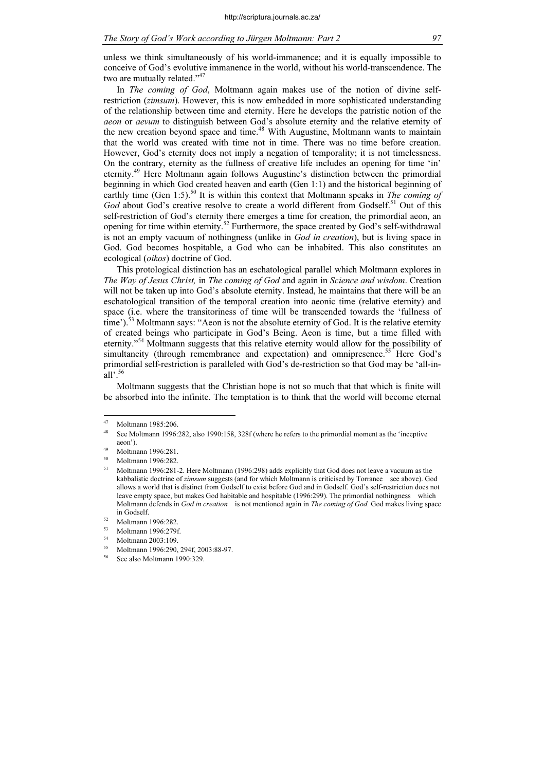unless we think simultaneously of his world-immanence; and it is equally impossible to conceive of God's evolutive immanence in the world, without his world-transcendence. The two are mutually related."<sup>47</sup>

In *The coming of God*, Moltmann again makes use of the notion of divine selfrestriction (*zimsum*). However, this is now embedded in more sophisticated understanding of the relationship between time and eternity. Here he develops the patristic notion of the aeon or aevum to distinguish between God's absolute eternity and the relative eternity of the new creation beyond space and time.<sup>48</sup> With Augustine, Moltmann wants to maintain that the world was created with time not in time. There was no time before creation. However, God's eternity does not imply a negation of temporality; it is not timelessness. On the contrary, eternity as the fullness of creative life includes an opening for time 'in' eternity.<sup>49</sup> Here Moltmann again follows Augustine's distinction between the primordial beginning in which God created heaven and earth (Gen 1:1) and the historical beginning of earthly time (Gen 1:5).<sup>50</sup> It is within this context that Moltmann speaks in The coming of God about God's creative resolve to create a world different from Godself.<sup>51</sup> Out of this self-restriction of God's eternity there emerges a time for creation, the primordial aeon, an opening for time within eternity.<sup>52</sup> Furthermore, the space created by God's self-withdrawal is not an empty vacuum of nothingness (unlike in God in creation), but is living space in God. God becomes hospitable, a God who can be inhabited. This also constitutes an ecological (oikos) doctrine of God.

This protological distinction has an eschatological parallel which Moltmann explores in The Way of Jesus Christ, in The coming of God and again in Science and wisdom. Creation will not be taken up into God's absolute eternity. Instead, he maintains that there will be an eschatological transition of the temporal creation into aeonic time (relative eternity) and space (i.e. where the transitoriness of time will be transcended towards the 'fullness of time').<sup>53</sup> Moltmann says: "Aeon is not the absolute eternity of God. It is the relative eternity of created beings who participate in God's Being. Aeon is time, but a time filled with eternity."<sup>54</sup> Moltmann suggests that this relative eternity would allow for the possibility of simultaneity (through remembrance and expectation) and omnipresence.<sup>55</sup> Here God's primordial self-restriction is paralleled with God's de-restriction so that God may be 'all-inall'. $56$ 

Moltmann suggests that the Christian hope is not so much that that which is finite will be absorbed into the infinite. The temptation is to think that the world will become eternal

See also Moltmann 1990:329.

 $\overline{47}$ Moltmann 1985:206.

See Moltmann 1996:282, also 1990:158, 328f (where he refers to the primordial moment as the 'inceptive aeon').<br>Moltmann 1996:281.

 $^{50}$  Moltmann 1996:282.

<sup>51</sup> Moltmann 1996:281-2. Here Moltmann (1996:298) adds explicitly that God does not leave a vacuum as the kabbalistic doctrine of zimsum suggests (and for which Moltmann is criticised by Torrance see above). God allows a world that is distinct from Godself to exist before God and in Godself. God's self-restriction does not leave empty space, but makes God habitable and hospitable (1996:299). The primordial nothingness which Moltmann defends in God in creation is not mentioned again in The coming of God. God makes living space

in Godself.<br> $^{52}$  Moltmann 1996:282.

 $^{53}$  Moltmann 1996:279f.

 $^{54}$  Moltmann 2003:109.

<sup>55</sup> Moltmann 1996:290, 294f, 2003:88-97.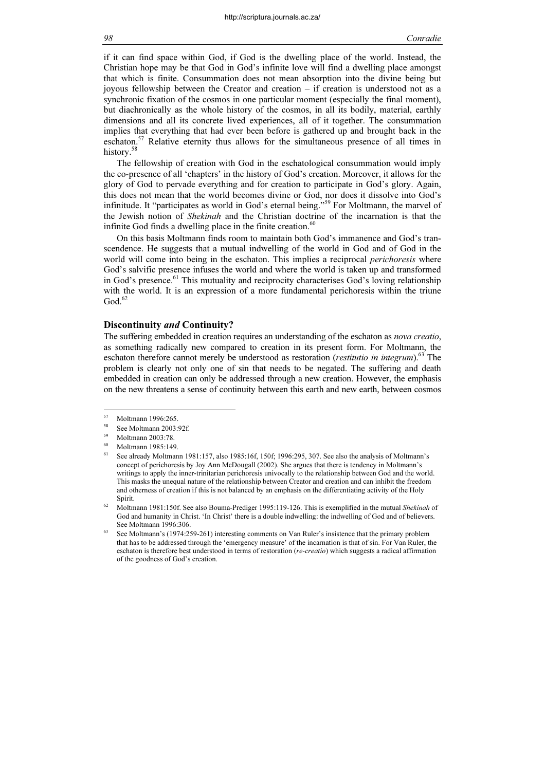if it can find space within God, if God is the dwelling place of the world. Instead, the Christian hope may be that God in God's infinite love will find a dwelling place amongst that which is finite. Consummation does not mean absorption into the divine being but joyous fellowship between the Creator and creation – if creation is understood not as a synchronic fixation of the cosmos in one particular moment (especially the final moment), but diachronically as the whole history of the cosmos, in all its bodily, material, earthly dimensions and all its concrete lived experiences, all of it together. The consummation implies that everything that had ever been before is gathered up and brought back in the eschaton. $57$  Relative eternity thus allows for the simultaneous presence of all times in history.<sup>58</sup>

The fellowship of creation with God in the eschatological consummation would imply the co-presence of all 'chapters' in the history of God's creation. Moreover, it allows for the glory of God to pervade everything and for creation to participate in God's glory. Again, this does not mean that the world becomes divine or God, nor does it dissolve into God's infinitude. It "participates as world in God's eternal being."<sup>59</sup> For Moltmann, the marvel of the Jewish notion of Shekinah and the Christian doctrine of the incarnation is that the infinite God finds a dwelling place in the finite creation. $60$ 

On this basis Moltmann finds room to maintain both God's immanence and God's transcendence. He suggests that a mutual indwelling of the world in God and of God in the world will come into being in the eschaton. This implies a reciprocal *perichoresis* where God's salvific presence infuses the world and where the world is taken up and transformed in God's presence.<sup>61</sup> This mutuality and reciprocity characterises God's loving relationship with the world. It is an expression of a more fundamental perichoresis within the triune  $\mathrm{God.}^{62}$ 

#### Discontinuity and Continuity?

The suffering embedded in creation requires an understanding of the eschaton as *nova creatio*, as something radically new compared to creation in its present form. For Moltmann, the eschaton therefore cannot merely be understood as restoration (restitutio in integrum).<sup>63</sup> The problem is clearly not only one of sin that needs to be negated. The suffering and death embedded in creation can only be addressed through a new creation. However, the emphasis on the new threatens a sense of continuity between this earth and new earth, between cosmos

<sup>57</sup>  $^{57}$  Moltmann 1996:265.<br> $^{58}$  See Moltmann 2002.

<sup>&</sup>lt;sup>58</sup> See Moltmann 2003:92f.

Moltmann 2003:78.

Moltmann 1985:149

<sup>61</sup> See already Moltmann 1981:157, also 1985:16f, 150f; 1996:295, 307. See also the analysis of Moltmann's concept of perichoresis by Joy Ann McDougall (2002). She argues that there is tendency in Moltmann's writings to apply the inner-trinitarian perichoresis univocally to the relationship between God and the world. This masks the unequal nature of the relationship between Creator and creation and can inhibit the freedom and otherness of creation if this is not balanced by an emphasis on the differentiating activity of the Holy Spirit.

 $62$  Moltmann 1981:150f. See also Bouma-Prediger 1995:119-126. This is exemplified in the mutual Shekinah of God and humanity in Christ. 'In Christ' there is a double indwelling: the indwelling of God and of believers. See Moltmann 1996:306.

<sup>63</sup> See Moltmann's (1974:259-261) interesting comments on Van Ruler's insistence that the primary problem that has to be addressed through the 'emergency measure' of the incarnation is that of sin. For Van Ruler, the eschaton is therefore best understood in terms of restoration *(re-creatio)* which suggests a radical affirmation of the goodness of God's creation.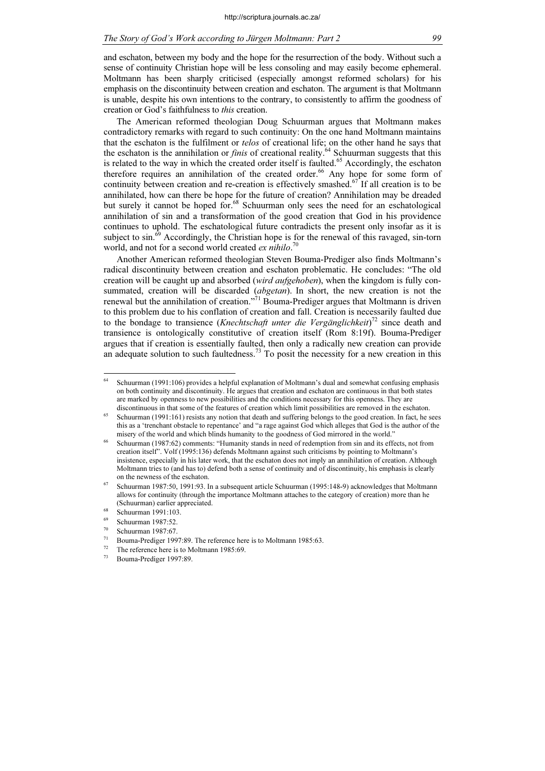and eschaton, between my body and the hope for the resurrection of the body. Without such a sense of continuity Christian hope will be less consoling and may easily become ephemeral. Moltmann has been sharply criticised (especially amongst reformed scholars) for his emphasis on the discontinuity between creation and eschaton. The argument is that Moltmann is unable, despite his own intentions to the contrary, to consistently to affirm the goodness of creation or God's faithfulness to this creation.

The American reformed theologian Doug Schuurman argues that Moltmann makes contradictory remarks with regard to such continuity: On the one hand Moltmann maintains that the eschaton is the fulfilment or telos of creational life; on the other hand he says that the eschaton is the annihilation or *finis* of creational reality.<sup>64</sup> Schuurman suggests that this is related to the way in which the created order itself is faulted.<sup>65</sup> Accordingly, the eschaton therefore requires an annihilation of the created order.<sup>66</sup> Any hope for some form of continuity between creation and re-creation is effectively smashed.<sup>67</sup> If all creation is to be annihilated, how can there be hope for the future of creation? Annihilation may be dreaded but surely it cannot be hoped for.<sup>68</sup> Schuurman only sees the need for an eschatological annihilation of sin and a transformation of the good creation that God in his providence continues to uphold. The eschatological future contradicts the present only insofar as it is subject to  $\sin^{69}$  Accordingly, the Christian hope is for the renewal of this ravaged, sin-torn world, and not for a second world created  $ex$  nihilo.<sup>70</sup>

Another American reformed theologian Steven Bouma-Prediger also finds Moltmann's radical discontinuity between creation and eschaton problematic. He concludes: "The old creation will be caught up and absorbed (wird aufgehoben), when the kingdom is fully consummated, creation will be discarded *(abgetan)*. In short, the new creation is not the renewal but the annihilation of creation."<sup>71</sup> Bouma-Prediger argues that Moltmann is driven to this problem due to his conflation of creation and fall. Creation is necessarily faulted due to the bondage to transience (*Knechtschaft unter die Vergänglichkeit*)<sup>72</sup> since death and transience is ontologically constitutive of creation itself (Rom 8:19f). Bouma-Prediger argues that if creation is essentially faulted, then only a radically new creation can provide an adequate solution to such faultedness.<sup>73</sup> To posit the necessity for a new creation in this

<sup>64</sup> Schuurman (1991:106) provides a helpful explanation of Moltmann's dual and somewhat confusing emphasis on both continuity and discontinuity. He argues that creation and eschaton are continuous in that both states are marked by openness to new possibilities and the conditions necessary for this openness. They are discontinuous in that some of the features of creation which limit possibilities are removed in the eschaton.

<sup>65</sup> Schuurman (1991:161) resists any notion that death and suffering belongs to the good creation. In fact, he sees this as a 'trenchant obstacle to repentance' and "a rage against God which alleges that God is the author of the misery of the world and which blinds humanity to the goodness of God mirrored in the world."

<sup>66</sup> Schuurman (1987:62) comments: "Humanity stands in need of redemption from sin and its effects, not from creation itself". Volf (1995:136) defends Moltmann against such criticisms by pointing to Moltmann's insistence, especially in his later work, that the eschaton does not imply an annihilation of creation. Although Moltmann tries to (and has to) defend both a sense of continuity and of discontinuity, his emphasis is clearly on the newness of the eschaton.

<sup>67</sup> Schuurman 1987:50, 1991:93. In a subsequent article Schuurman (1995:148-9) acknowledges that Moltmann allows for continuity (through the importance Moltmann attaches to the category of creation) more than he (Schuurman) earlier appreciated. <sup>68</sup> Schuurman 1991:103.

Schuurman 1987:52.

 $^{70}$  Schuurman 1987:67.

<sup>&</sup>lt;sup>71</sup> Bouma-Prediger 1997:89. The reference here is to Moltmann 1985:63.<br><sup>72</sup> The reference here is to Moltmann 1985:69.

<sup>&</sup>lt;sup>72</sup> The reference here is to Moltmann 1985:69.<br><sup>73</sup> Bouma-Prediger 1997:89

Bouma-Prediger 1997:89.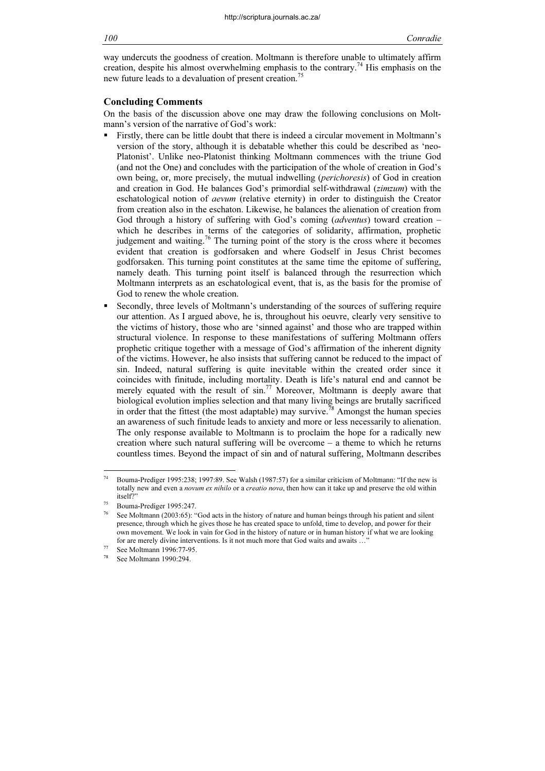way undercuts the goodness of creation. Moltmann is therefore unable to ultimately affirm creation, despite his almost overwhelming emphasis to the contrary.<sup>74</sup> His emphasis on the new future leads to a devaluation of present creation.<sup>75</sup>

#### Concluding Comments

On the basis of the discussion above one may draw the following conclusions on Moltmann's version of the narrative of God's work:

- Firstly, there can be little doubt that there is indeed a circular movement in Moltmann's version of the story, although it is debatable whether this could be described as 'neo-Platonist'. Unlike neo-Platonist thinking Moltmann commences with the triune God (and not the One) and concludes with the participation of the whole of creation in God's own being, or, more precisely, the mutual indwelling (perichoresis) of God in creation and creation in God. He balances God's primordial self-withdrawal (zimzum) with the eschatological notion of aevum (relative eternity) in order to distinguish the Creator from creation also in the eschaton. Likewise, he balances the alienation of creation from God through a history of suffering with God's coming *(adventus)* toward creation – which he describes in terms of the categories of solidarity, affirmation, prophetic judgement and waiting.<sup>76</sup> The turning point of the story is the cross where it becomes evident that creation is godforsaken and where Godself in Jesus Christ becomes godforsaken. This turning point constitutes at the same time the epitome of suffering, namely death. This turning point itself is balanced through the resurrection which Moltmann interprets as an eschatological event, that is, as the basis for the promise of God to renew the whole creation.
- Secondly, three levels of Moltmann's understanding of the sources of suffering require our attention. As I argued above, he is, throughout his oeuvre, clearly very sensitive to the victims of history, those who are 'sinned against' and those who are trapped within structural violence. In response to these manifestations of suffering Moltmann offers prophetic critique together with a message of God's affirmation of the inherent dignity of the victims. However, he also insists that suffering cannot be reduced to the impact of sin. Indeed, natural suffering is quite inevitable within the created order since it coincides with finitude, including mortality. Death is life's natural end and cannot be merely equated with the result of sin.<sup>77</sup> Moreover, Moltmann is deeply aware that biological evolution implies selection and that many living beings are brutally sacrificed in order that the fittest (the most adaptable) may survive.<sup>78</sup> Amongst the human species an awareness of such finitude leads to anxiety and more or less necessarily to alienation. The only response available to Moltmann is to proclaim the hope for a radically new creation where such natural suffering will be overcome – a theme to which he returns countless times. Beyond the impact of sin and of natural suffering, Moltmann describes

<sup>74</sup> Bouma-Prediger 1995:238; 1997:89. See Walsh (1987:57) for a similar criticism of Moltmann: "If the new is totally new and even a *novum ex nihilo* or a *creatio nova*, then how can it take up and preserve the old within itself?"

Bouma-Prediger 1995:247.

<sup>76</sup> See Moltmann (2003:65): "God acts in the history of nature and human beings through his patient and silent presence, through which he gives those he has created space to unfold, time to develop, and power for their own movement. We look in vain for God in the history of nature or in human history if what we are looking for are merely divine interventions. Is it not much more that God waits and awaits ...' See Moltmann 1996:77-95.

See Moltmann 1990:294.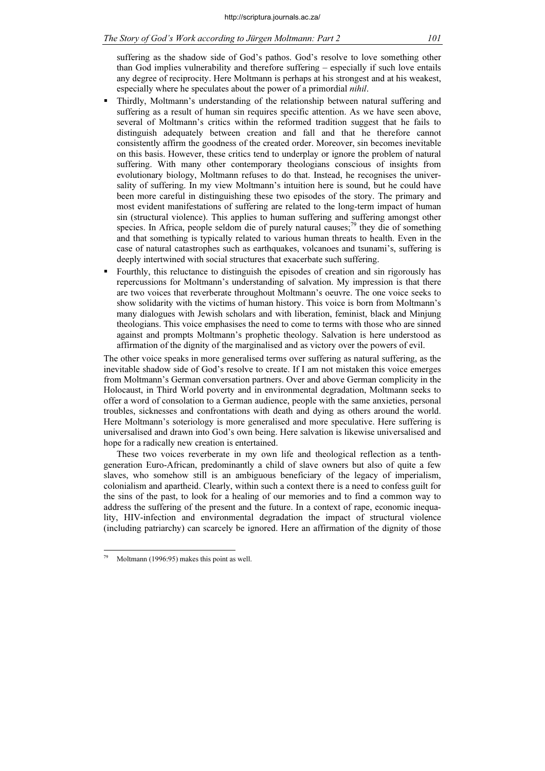# The Story of God's Work according to Jürgen Moltmann: Part 2 101

suffering as the shadow side of God's pathos. God's resolve to love something other than God implies vulnerability and therefore suffering – especially if such love entails any degree of reciprocity. Here Moltmann is perhaps at his strongest and at his weakest, especially where he speculates about the power of a primordial nihil.

- Thirdly, Moltmann's understanding of the relationship between natural suffering and suffering as a result of human sin requires specific attention. As we have seen above, several of Moltmann's critics within the reformed tradition suggest that he fails to distinguish adequately between creation and fall and that he therefore cannot consistently affirm the goodness of the created order. Moreover, sin becomes inevitable on this basis. However, these critics tend to underplay or ignore the problem of natural suffering. With many other contemporary theologians conscious of insights from evolutionary biology, Moltmann refuses to do that. Instead, he recognises the universality of suffering. In my view Moltmann's intuition here is sound, but he could have been more careful in distinguishing these two episodes of the story. The primary and most evident manifestations of suffering are related to the long-term impact of human sin (structural violence). This applies to human suffering and suffering amongst other species. In Africa, people seldom die of purely natural causes;<sup>79</sup> they die of something and that something is typically related to various human threats to health. Even in the case of natural catastrophes such as earthquakes, volcanoes and tsunami's, suffering is deeply intertwined with social structures that exacerbate such suffering.
- Fourthly, this reluctance to distinguish the episodes of creation and sin rigorously has repercussions for Moltmann's understanding of salvation. My impression is that there are two voices that reverberate throughout Moltmann's oeuvre. The one voice seeks to show solidarity with the victims of human history. This voice is born from Moltmann's many dialogues with Jewish scholars and with liberation, feminist, black and Minjung theologians. This voice emphasises the need to come to terms with those who are sinned against and prompts Moltmann's prophetic theology. Salvation is here understood as affirmation of the dignity of the marginalised and as victory over the powers of evil.

The other voice speaks in more generalised terms over suffering as natural suffering, as the inevitable shadow side of God's resolve to create. If I am not mistaken this voice emerges from Moltmann's German conversation partners. Over and above German complicity in the Holocaust, in Third World poverty and in environmental degradation, Moltmann seeks to offer a word of consolation to a German audience, people with the same anxieties, personal troubles, sicknesses and confrontations with death and dying as others around the world. Here Moltmann's soteriology is more generalised and more speculative. Here suffering is universalised and drawn into God's own being. Here salvation is likewise universalised and hope for a radically new creation is entertained.

These two voices reverberate in my own life and theological reflection as a tenthgeneration Euro-African, predominantly a child of slave owners but also of quite a few slaves, who somehow still is an ambiguous beneficiary of the legacy of imperialism, colonialism and apartheid. Clearly, within such a context there is a need to confess guilt for the sins of the past, to look for a healing of our memories and to find a common way to address the suffering of the present and the future. In a context of rape, economic inequality, HIV-infection and environmental degradation the impact of structural violence (including patriarchy) can scarcely be ignored. Here an affirmation of the dignity of those

Moltmann (1996:95) makes this point as well.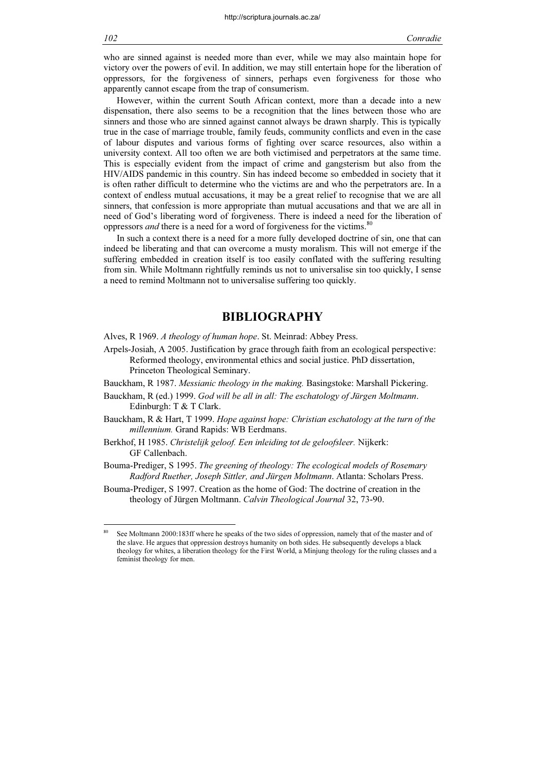who are sinned against is needed more than ever, while we may also maintain hope for victory over the powers of evil. In addition, we may still entertain hope for the liberation of oppressors, for the forgiveness of sinners, perhaps even forgiveness for those who apparently cannot escape from the trap of consumerism.

However, within the current South African context, more than a decade into a new dispensation, there also seems to be a recognition that the lines between those who are sinners and those who are sinned against cannot always be drawn sharply. This is typically true in the case of marriage trouble, family feuds, community conflicts and even in the case of labour disputes and various forms of fighting over scarce resources, also within a university context. All too often we are both victimised and perpetrators at the same time. This is especially evident from the impact of crime and gangsterism but also from the HIV/AIDS pandemic in this country. Sin has indeed become so embedded in society that it is often rather difficult to determine who the victims are and who the perpetrators are. In a context of endless mutual accusations, it may be a great relief to recognise that we are all sinners, that confession is more appropriate than mutual accusations and that we are all in need of God's liberating word of forgiveness. There is indeed a need for the liberation of oppressors *and* there is a need for a word of forgiveness for the victims.<sup>80</sup>

In such a context there is a need for a more fully developed doctrine of sin, one that can indeed be liberating and that can overcome a musty moralism. This will not emerge if the suffering embedded in creation itself is too easily conflated with the suffering resulting from sin. While Moltmann rightfully reminds us not to universalise sin too quickly, I sense a need to remind Moltmann not to universalise suffering too quickly.

# BIBLIOGRAPHY

Alves, R 1969. A theology of human hope. St. Meinrad: Abbey Press.

- Arpels-Josiah, A 2005. Justification by grace through faith from an ecological perspective: Reformed theology, environmental ethics and social justice. PhD dissertation, Princeton Theological Seminary.
- Bauckham, R 1987. Messianic theology in the making. Basingstoke: Marshall Pickering.
- Bauckham, R (ed.) 1999. God will be all in all: The eschatology of Jürgen Moltmann. Edinburgh: T & T Clark.
- Bauckham, R & Hart, T 1999. Hope against hope: Christian eschatology at the turn of the millennium. Grand Rapids: WB Eerdmans.
- Berkhof, H 1985. Christelijk geloof. Een inleiding tot de geloofsleer. Nijkerk: GF Callenbach.
- Bouma-Prediger, S 1995. The greening of theology: The ecological models of Rosemary Radford Ruether, Joseph Sittler, and Jürgen Moltmann. Atlanta: Scholars Press.
- Bouma-Prediger, S 1997. Creation as the home of God: The doctrine of creation in the theology of Jürgen Moltmann. Calvin Theological Journal 32, 73-90.

See Moltmann 2000:183ff where he speaks of the two sides of oppression, namely that of the master and of the slave. He argues that oppression destroys humanity on both sides. He subsequently develops a black theology for whites, a liberation theology for the First World, a Minjung theology for the ruling classes and a feminist theology for men.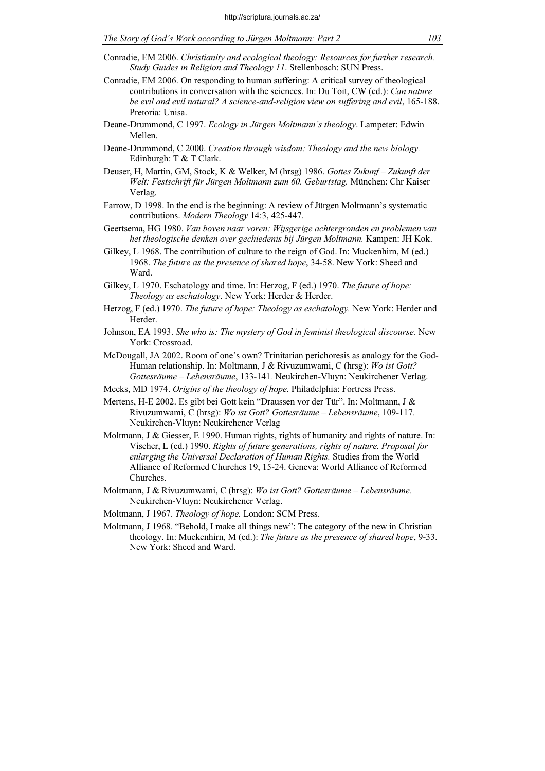The Story of God's Work according to Jürgen Moltmann: Part 2 103

- Conradie, EM 2006. On responding to human suffering: A critical survey of theological contributions in conversation with the sciences. In: Du Toit, CW (ed.): Can nature be evil and evil natural? A science-and-religion view on suffering and evil, 165-188. Pretoria: Unisa.
- Deane-Drummond, C 1997. Ecology in Jürgen Moltmann's theology. Lampeter: Edwin Mellen.
- Deane-Drummond, C 2000. Creation through wisdom: Theology and the new biology. Edinburgh: T & T Clark.
- Deuser, H, Martin, GM, Stock, K & Welker, M (hrsg) 1986. Gottes Zukunf Zukunft der Welt: Festschrift für Jürgen Moltmann zum 60. Geburtstag. München: Chr Kaiser Verlag.
- Farrow, D 1998. In the end is the beginning: A review of Jürgen Moltmann's systematic contributions. Modern Theology 14:3, 425-447.
- Geertsema, HG 1980. Van boven naar voren: Wijsgerige achtergronden en problemen van het theologische denken over gechiedenis bij Jürgen Moltmann. Kampen: JH Kok.
- Gilkey, L 1968. The contribution of culture to the reign of God. In: Muckenhirn, M (ed.) 1968. The future as the presence of shared hope, 34-58. New York: Sheed and Ward.
- Gilkey, L 1970. Eschatology and time. In: Herzog, F (ed.) 1970. The future of hope: Theology as eschatology. New York: Herder & Herder.
- Herzog, F (ed.) 1970. The future of hope: Theology as eschatology. New York: Herder and Herder.
- Johnson, EA 1993. She who is: The mystery of God in feminist theological discourse. New York: Crossroad.
- McDougall, JA 2002. Room of one's own? Trinitarian perichoresis as analogy for the God-Human relationship. In: Moltmann, J & Rivuzumwami, C (hrsg): Wo ist Gott? Gottesräume – Lebensräume, 133-141. Neukirchen-Vluyn: Neukirchener Verlag.
- Meeks, MD 1974. Origins of the theology of hope. Philadelphia: Fortress Press.
- Mertens, H-E 2002. Es gibt bei Gott kein "Draussen vor der Tür". In: Moltmann, J & Rivuzumwami, C (hrsg): Wo ist Gott? Gottesräume – Lebensräume, 109-117. Neukirchen-Vluyn: Neukirchener Verlag
- Moltmann, J & Giesser, E 1990. Human rights, rights of humanity and rights of nature. In: Vischer, L (ed.) 1990. Rights of future generations, rights of nature. Proposal for enlarging the Universal Declaration of Human Rights. Studies from the World Alliance of Reformed Churches 19, 15-24. Geneva: World Alliance of Reformed Churches.
- Moltmann, J & Rivuzumwami, C (hrsg): Wo ist Gott? Gottesräume Lebensräume. Neukirchen-Vluyn: Neukirchener Verlag.
- Moltmann, J 1967. Theology of hope. London: SCM Press.
- Moltmann, J 1968. "Behold, I make all things new": The category of the new in Christian theology. In: Muckenhirn, M (ed.): The future as the presence of shared hope, 9-33. New York: Sheed and Ward.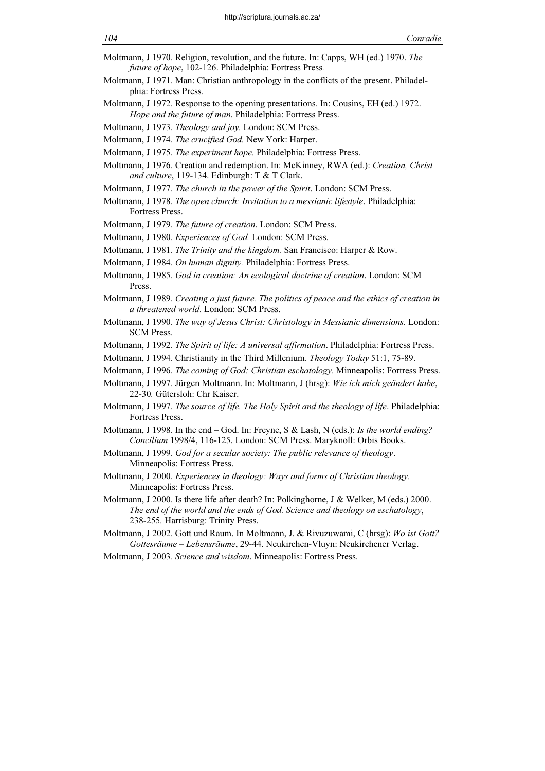- Moltmann, J 1970. Religion, revolution, and the future. In: Capps, WH (ed.) 1970. The future of hope, 102-126. Philadelphia: Fortress Press.
- Moltmann, J 1971. Man: Christian anthropology in the conflicts of the present. Philadelphia: Fortress Press.
- Moltmann, J 1972. Response to the opening presentations. In: Cousins, EH (ed.) 1972. Hope and the future of man. Philadelphia: Fortress Press.
- Moltmann, J 1973. Theology and joy. London: SCM Press.
- Moltmann, J 1974. The crucified God. New York: Harper.
- Moltmann, J 1975. The experiment hope. Philadelphia: Fortress Press.
- Moltmann, J 1976. Creation and redemption. In: McKinney, RWA (ed.): Creation, Christ and culture, 119-134. Edinburgh: T & T Clark.
- Moltmann, J 1977. The church in the power of the Spirit. London: SCM Press.
- Moltmann, J 1978. The open church: Invitation to a messianic lifestyle. Philadelphia: Fortress Press.
- Moltmann, J 1979. The future of creation. London: SCM Press.
- Moltmann, J 1980. Experiences of God. London: SCM Press.
- Moltmann, J 1981. The Trinity and the kingdom. San Francisco: Harper & Row.
- Moltmann, J 1984. On human dignity. Philadelphia: Fortress Press.
- Moltmann, J 1985. God in creation: An ecological doctrine of creation. London: SCM Press.
- Moltmann, J 1989. Creating a just future. The politics of peace and the ethics of creation in a threatened world. London: SCM Press.
- Moltmann, J 1990. The way of Jesus Christ: Christology in Messianic dimensions. London: SCM Press.
- Moltmann, J 1992. The Spirit of life: A universal affirmation. Philadelphia: Fortress Press.
- Moltmann, J 1994. Christianity in the Third Millenium. Theology Today 51:1, 75-89.
- Moltmann, J 1996. The coming of God: Christian eschatology. Minneapolis: Fortress Press.
- Moltmann, J 1997. Jürgen Moltmann. In: Moltmann, J (hrsg): Wie ich mich geändert habe, 22-30. Gütersloh: Chr Kaiser.
- Moltmann, J 1997. The source of life. The Holy Spirit and the theology of life. Philadelphia: Fortress Press.
- Moltmann, J 1998. In the end God. In: Freyne, S & Lash, N (eds.): Is the world ending? Concilium 1998/4, 116-125. London: SCM Press. Maryknoll: Orbis Books.
- Moltmann, J 1999. God for a secular society: The public relevance of theology. Minneapolis: Fortress Press.
- Moltmann, J 2000. Experiences in theology: Ways and forms of Christian theology. Minneapolis: Fortress Press.
- Moltmann, J 2000. Is there life after death? In: Polkinghorne, J & Welker, M (eds.) 2000. The end of the world and the ends of God. Science and theology on eschatology, 238-255. Harrisburg: Trinity Press.
- Moltmann, J 2002. Gott und Raum. In Moltmann, J. & Rivuzuwami, C (hrsg): Wo ist Gott? Gottesräume – Lebensräume, 29-44. Neukirchen-Vluyn: Neukirchener Verlag.
- Moltmann, J 2003. Science and wisdom. Minneapolis: Fortress Press.